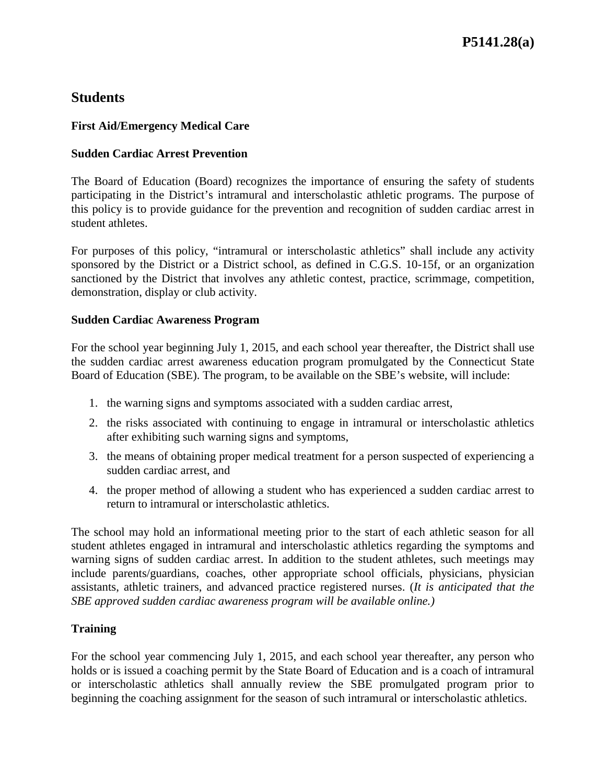## **Students**

## **First Aid/Emergency Medical Care**

## **Sudden Cardiac Arrest Prevention**

The Board of Education (Board) recognizes the importance of ensuring the safety of students participating in the District's intramural and interscholastic athletic programs. The purpose of this policy is to provide guidance for the prevention and recognition of sudden cardiac arrest in student athletes.

For purposes of this policy, "intramural or interscholastic athletics" shall include any activity sponsored by the District or a District school, as defined in C.G.S. 10-15f, or an organization sanctioned by the District that involves any athletic contest, practice, scrimmage, competition, demonstration, display or club activity.

## **Sudden Cardiac Awareness Program**

For the school year beginning July 1, 2015, and each school year thereafter, the District shall use the sudden cardiac arrest awareness education program promulgated by the Connecticut State Board of Education (SBE). The program, to be available on the SBE's website, will include:

- 1. the warning signs and symptoms associated with a sudden cardiac arrest,
- 2. the risks associated with continuing to engage in intramural or interscholastic athletics after exhibiting such warning signs and symptoms,
- 3. the means of obtaining proper medical treatment for a person suspected of experiencing a sudden cardiac arrest, and
- 4. the proper method of allowing a student who has experienced a sudden cardiac arrest to return to intramural or interscholastic athletics.

The school may hold an informational meeting prior to the start of each athletic season for all student athletes engaged in intramural and interscholastic athletics regarding the symptoms and warning signs of sudden cardiac arrest. In addition to the student athletes, such meetings may include parents/guardians, coaches, other appropriate school officials, physicians, physician assistants, athletic trainers, and advanced practice registered nurses. (*It is anticipated that the SBE approved sudden cardiac awareness program will be available online.)*

## **Training**

For the school year commencing July 1, 2015, and each school year thereafter, any person who holds or is issued a coaching permit by the State Board of Education and is a coach of intramural or interscholastic athletics shall annually review the SBE promulgated program prior to beginning the coaching assignment for the season of such intramural or interscholastic athletics.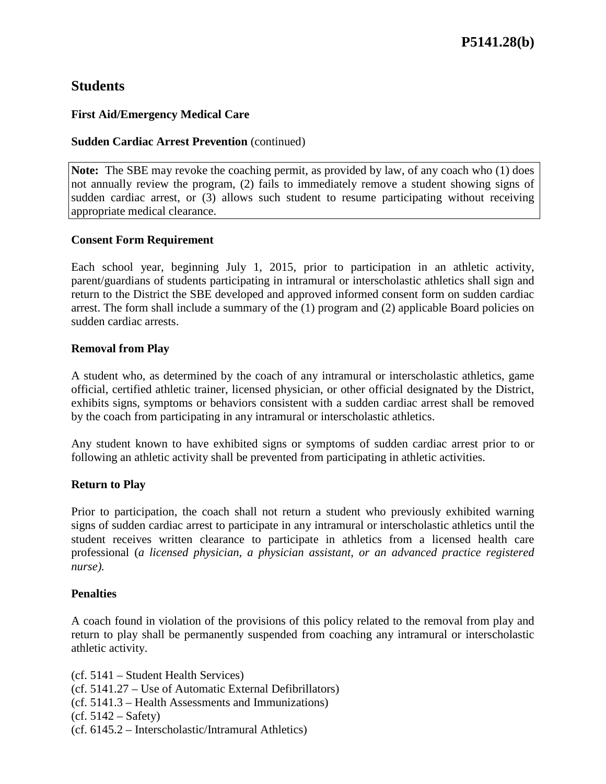# **Students**

## **First Aid/Emergency Medical Care**

## **Sudden Cardiac Arrest Prevention** (continued)

**Note:** The SBE may revoke the coaching permit, as provided by law, of any coach who (1) does not annually review the program, (2) fails to immediately remove a student showing signs of sudden cardiac arrest, or (3) allows such student to resume participating without receiving appropriate medical clearance.

## **Consent Form Requirement**

Each school year, beginning July 1, 2015, prior to participation in an athletic activity, parent/guardians of students participating in intramural or interscholastic athletics shall sign and return to the District the SBE developed and approved informed consent form on sudden cardiac arrest. The form shall include a summary of the (1) program and (2) applicable Board policies on sudden cardiac arrests.

### **Removal from Play**

A student who, as determined by the coach of any intramural or interscholastic athletics, game official, certified athletic trainer, licensed physician, or other official designated by the District, exhibits signs, symptoms or behaviors consistent with a sudden cardiac arrest shall be removed by the coach from participating in any intramural or interscholastic athletics.

Any student known to have exhibited signs or symptoms of sudden cardiac arrest prior to or following an athletic activity shall be prevented from participating in athletic activities.

## **Return to Play**

Prior to participation, the coach shall not return a student who previously exhibited warning signs of sudden cardiac arrest to participate in any intramural or interscholastic athletics until the student receives written clearance to participate in athletics from a licensed health care professional (*a licensed physician, a physician assistant, or an advanced practice registered nurse).*

### **Penalties**

A coach found in violation of the provisions of this policy related to the removal from play and return to play shall be permanently suspended from coaching any intramural or interscholastic athletic activity.

(cf. 5141 – Student Health Services)

- (cf. 5141.27 Use of Automatic External Defibrillators)
- (cf. 5141.3 Health Assessments and Immunizations)
- $(cf. 5142 Safety)$
- (cf. 6145.2 Interscholastic/Intramural Athletics)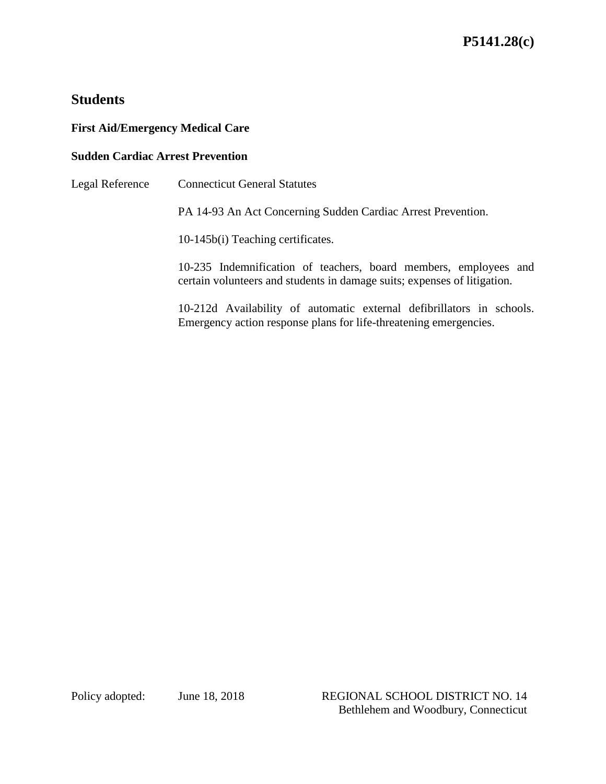# **Students**

## **First Aid/Emergency Medical Care**

## **Sudden Cardiac Arrest Prevention**

Legal Reference Connecticut General Statutes

PA 14-93 An Act Concerning Sudden Cardiac Arrest Prevention.

10-145b(i) Teaching certificates.

10-235 Indemnification of teachers, board members, employees and certain volunteers and students in damage suits; expenses of litigation.

10-212d Availability of automatic external defibrillators in schools. Emergency action response plans for life-threatening emergencies.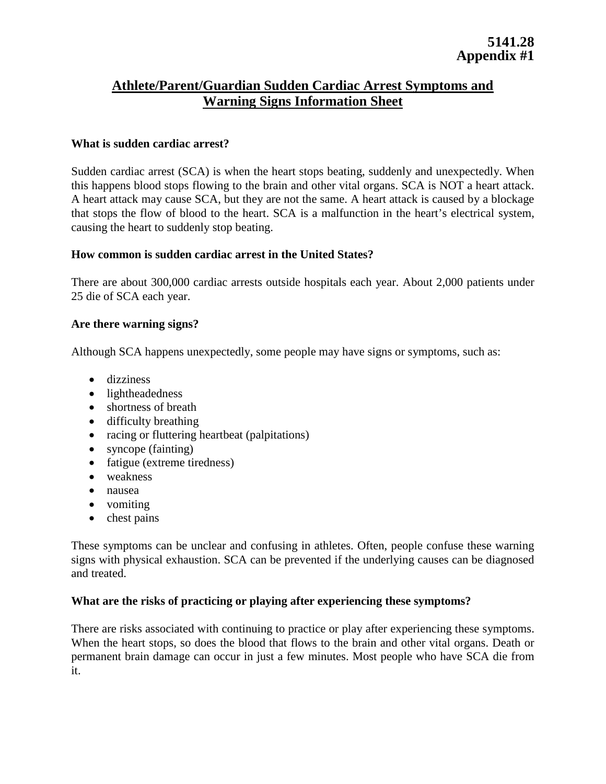## **Athlete/Parent/Guardian Sudden Cardiac Arrest Symptoms and Warning Signs Information Sheet**

### **What is sudden cardiac arrest?**

Sudden cardiac arrest (SCA) is when the heart stops beating, suddenly and unexpectedly. When this happens blood stops flowing to the brain and other vital organs. SCA is NOT a heart attack. A heart attack may cause SCA, but they are not the same. A heart attack is caused by a blockage that stops the flow of blood to the heart. SCA is a malfunction in the heart's electrical system, causing the heart to suddenly stop beating.

#### **How common is sudden cardiac arrest in the United States?**

There are about 300,000 cardiac arrests outside hospitals each year. About 2,000 patients under 25 die of SCA each year.

#### **Are there warning signs?**

Although SCA happens unexpectedly, some people may have signs or symptoms, such as:

- dizziness
- lightheadedness
- shortness of breath
- difficulty breathing
- racing or fluttering heartbeat (palpitations)
- syncope (fainting)
- fatigue (extreme tiredness)
- weakness
- nausea
- vomiting
- chest pains

These symptoms can be unclear and confusing in athletes. Often, people confuse these warning signs with physical exhaustion. SCA can be prevented if the underlying causes can be diagnosed and treated.

### **What are the risks of practicing or playing after experiencing these symptoms?**

There are risks associated with continuing to practice or play after experiencing these symptoms. When the heart stops, so does the blood that flows to the brain and other vital organs. Death or permanent brain damage can occur in just a few minutes. Most people who have SCA die from it.